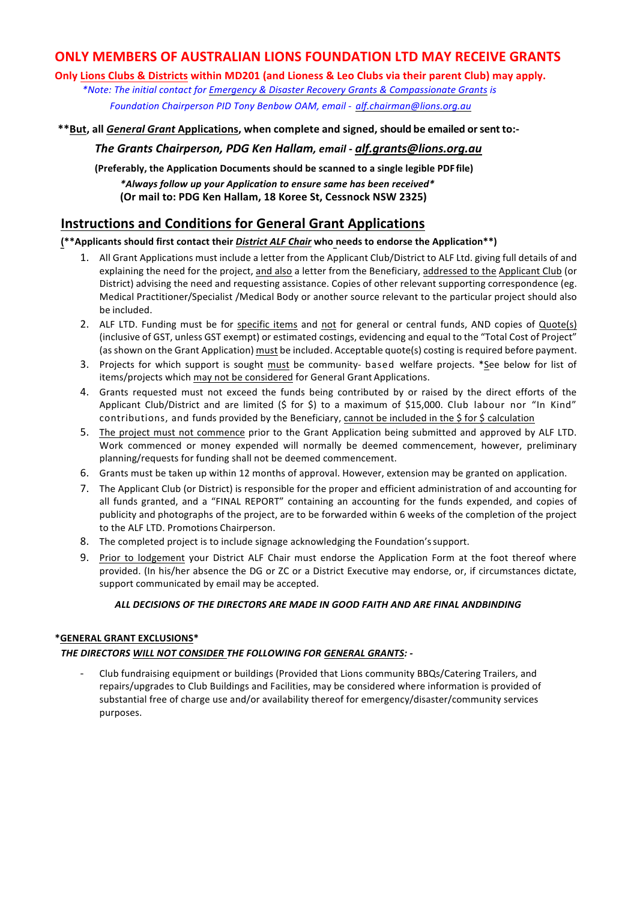# **ONLY MEMBERS OF AUSTRALIAN LIONS FOUNDATION LTD MAY RECEIVE GRANTS**

**Only Lions Clubs & Districts within MD201 (and Lioness & Leo Clubs via their parent Club) may apply.** 

\*Note: The initial contact for Emergency & Disaster Recovery Grants & Compassionate Grants is

*Foundation Chairperson PID Tony Benbow OAM, email - alf.chairman@lions.org.au*

**\*\*But, all** *General Grant* **Applications, when complete and signed, should be emailed orsent to:-**

*The Grants Chairperson, PDG Ken Hallam, email* **-** *alf.grants@lions.org.au*

**(Preferably, the Application Documents should be scanned to a single legible PDF file)** *\*Always follow up your Application to ensure same has been received\** **(Or mail to: PDG Ken Hallam, 18 Koree St, Cessnock NSW 2325)** 

# **Instructions and Conditions for General Grant Applications**

## (\*\*Applicants should first contact their *District ALF Chair* who needs to endorse the Application\*\*)

- 1. All Grant Applications must include a letter from the Applicant Club/District to ALF Ltd. giving full details of and explaining the need for the project, and also a letter from the Beneficiary, addressed to the Applicant Club (or District) advising the need and requesting assistance. Copies of other relevant supporting correspondence (eg. Medical Practitioner/Specialist /Medical Body or another source relevant to the particular project should also be included.
- 2. ALF LTD. Funding must be for specific items and not for general or central funds, AND copies of Quote(s) (inclusive of GST, unless GST exempt) or estimated costings, evidencing and equal to the "Total Cost of Project" (as shown on the Grant Application) must be included. Acceptable quote(s) costing is required before payment.
- 3. Projects for which support is sought must be community- based welfare projects. \*See below for list of items/projects which may not be considered for General Grant Applications.
- 4. Grants requested must not exceed the funds being contributed by or raised by the direct efforts of the Applicant Club/District and are limited  $(\xi$  for  $\xi)$  to a maximum of  $\xi$ 15,000. Club labour nor "In Kind" contributions, and funds provided by the Beneficiary, cannot be included in the \$ for \$ calculation
- 5. The project must not commence prior to the Grant Application being submitted and approved by ALF LTD. Work commenced or money expended will normally be deemed commencement, however, preliminary planning/requests for funding shall not be deemed commencement.
- 6. Grants must be taken up within 12 months of approval. However, extension may be granted on application.
- 7. The Applicant Club (or District) is responsible for the proper and efficient administration of and accounting for all funds granted, and a "FINAL REPORT" containing an accounting for the funds expended, and copies of publicity and photographs of the project, are to be forwarded within 6 weeks of the completion of the project to the ALF LTD. Promotions Chairperson.
- 8. The completed project is to include signage acknowledging the Foundation's support.
- 9. Prior to lodgement your District ALF Chair must endorse the Application Form at the foot thereof where provided. (In his/her absence the DG or ZC or a District Executive may endorse, or, if circumstances dictate, support communicated by email may be accepted.

# *ALL DECISIONS OF THE DIRECTORS ARE MADE IN GOOD FAITH AND ARE FINAL ANDBINDING*

## **\*GENERAL GRANT EXCLUSIONS\***

## THE DIRECTORS WILL NOT CONSIDER THE FOLLOWING FOR GENERAL GRANTS: -

Club fundraising equipment or buildings (Provided that Lions community BBQs/Catering Trailers, and repairs/upgrades to Club Buildings and Facilities, may be considered where information is provided of substantial free of charge use and/or availability thereof for emergency/disaster/community services purposes.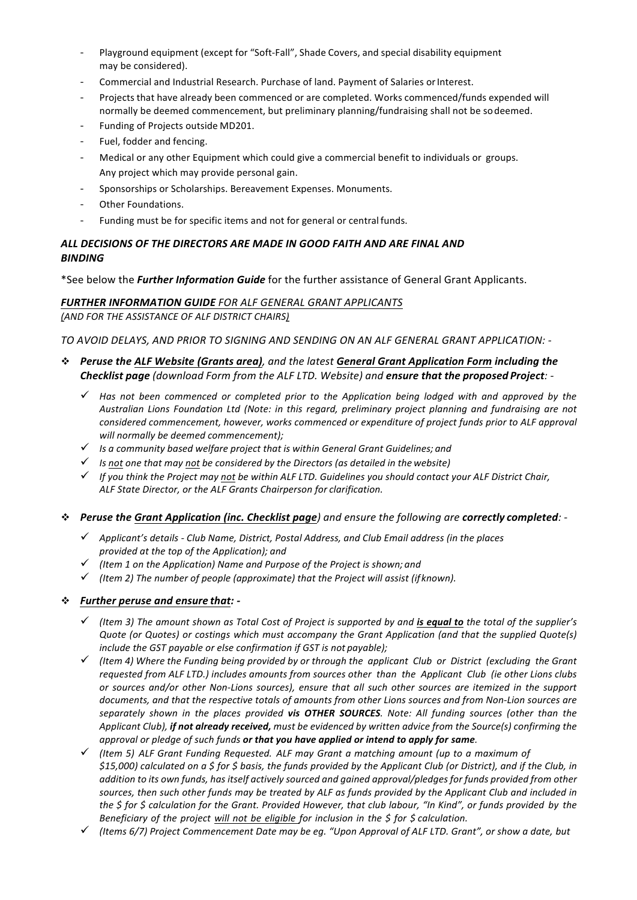- Playground equipment (except for "Soft-Fall", Shade Covers, and special disability equipment may be considered).
- Commercial and Industrial Research. Purchase of land. Payment of Salaries or Interest.
- Projects that have already been commenced or are completed. Works commenced/funds expended will normally be deemed commencement, but preliminary planning/fundraising shall not be sodeemed.
- Funding of Projects outside MD201.
- Fuel, fodder and fencing.
- Medical or any other Equipment which could give a commercial benefit to individuals or groups. Any project which may provide personal gain.
- Sponsorships or Scholarships. Bereavement Expenses. Monuments.
- Other Foundations.
- Funding must be for specific items and not for general or central funds.

## ALL DECISIONS OF THE DIRECTORS ARE MADE IN GOOD FAITH AND ARE FINAL AND *BINDING*

\*See below the *Further Information Guide* for the further assistance of General Grant Applicants.

#### **FURTHER INFORMATION GUIDE** FOR ALF GENERAL GRANT APPLICANTS *(AND FOR THE ASSISTANCE OF ALF DISTRICT CHAIRS)*

*TO AVOID DELAYS, AND PRIOR TO SIGNING AND SENDING ON AN ALF GENERAL GRANT APPLICATION: -*

- **→** Peruse the ALF Website (Grants area), and the latest General Grant Application Form including the *Checklist page (download Form from the ALF LTD. Website) and ensure that the proposed Project: -*
	- $\checkmark$  Has not been commenced or completed prior to the Application being lodged with and approved by the Australian Lions Foundation Ltd (Note: in this regard, preliminary project planning and fundraising are not *considered commencement, however, works commenced or expenditure of project funds prior to ALF approval will normally be deemed commencement);*
	- ü *Is a community based welfare project that is within General Grant Guidelines; and*
	- ü *Is not one that may not be considered by the Directors (as detailed in the website)*
	- $\checkmark$  If you think the Project may not be within ALF LTD. Guidelines you should contact your ALF District Chair, *ALF State Director, or the ALF Grants Chairperson for clarification.*

#### **• Peruse the Grant Application (inc. Checklist page)** and ensure the following are **correctly completed**: -

- ü *Applicant's details - Club Name, District, Postal Address, and Club Email address (in the places provided at the top of the Application); and*
- $\checkmark$  (Item 1 on the Application) Name and Purpose of the Project is shown; and
- $\checkmark$  (Item 2) The number of people (approximate) that the Project will assist (if known).

## *\* <u>Further peruse and ensure that</u>: -*

- $\checkmark$  (Item 3) The amount shown as Total Cost of Project is supported by and *is equal to* the total of the supplier's *Quote* (or *Quotes*) or costings which must accompany the Grant Application (and that the supplied *Quote(s) include the GST payable or else confirmation if GST is not payable);*
- $\checkmark$  (Item 4) Where the Funding being provided by or through the applicant Club or District (excluding the Grant requested from ALF LTD.) includes amounts from sources other than the Applicant Club (ie other Lions clubs or sources and/or other Non-Lions sources), ensure that all such other sources are itemized in the support documents, and that the respective totals of amounts from other Lions sources and from Non-Lion sources are separately shown in the places provided **vis OTHER SOURCES**. Note: All funding sources (other than the Applicant Club), if not already received, must be evidenced by written advice from the Source(s) confirming the *approval* or pledge of such funds or that you have applied or intend to apply for same.
- ü *(Item 5) ALF Grant Funding Requested. ALF may Grant a matching amount (up to a maximum of* \$15,000) calculated on a \$ for \$ basis, the funds provided by the Applicant Club (or District), and if the Club, in *addition to its own funds, has itself actively sourced and gained approval/pledges for funds provided from other* sources, then such other funds may be treated by ALF as funds provided by the Applicant Club and included in *the* \$ for \$ calculation for the Grant. Provided However, that club labour, "In Kind", or funds provided by the *Beneficiary of the project will not be eligible for inclusion in the \$ for \$ calculation.*
- ü *(Items 6/7) Project Commencement Date may be eg. "Upon Approval of ALF LTD. Grant", or show a date, but*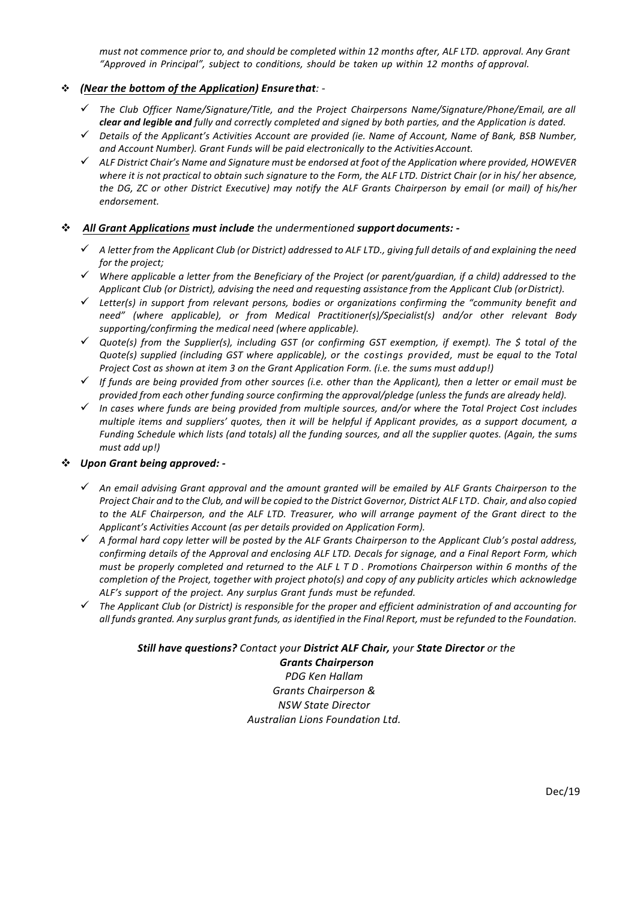*must not commence prior to, and should be completed within 12 months after, ALF LTD. approval. Any Grant "Approved in Principal", subject to conditions, should be taken up within 12 months of approval.*

#### $\div$  (Near the bottom of the Application) Ensure that: -

- ü *The Club Officer Name/Signature/Title, and the Project Chairpersons Name/Signature/Phone/Email, are all clear and legible and fully and correctly completed and signed by both parties, and the Application is dated.*
- ü *Details of the Applicant's Activities Account are provided (ie. Name of Account, Name of Bank, BSB Number,*  and Account Number). Grant Funds will be paid electronically to the Activities Account.
- $\checkmark$  ALF District Chair's Name and Signature must be endorsed at foot of the Application where provided, HOWEVER where it is not practical to obtain such signature to the Form, the ALF LTD. District Chair (or in his/ her absence, the DG, ZC or other District Executive) may notify the ALF Grants Chairperson by email (or mail) of his/her *endorsement.*

#### v *All Grant Applications must include the undermentioned support documents: -*

- ü *A letter from the Applicant Club (or District) addressed to ALF LTD., giving full details of and explaining the need for the project;*
- $\checkmark$  Where applicable a letter from the Beneficiary of the Project (or parent/auardian, if a child) addressed to the *Applicant Club (or District), advising the need and requesting assistance from the Applicant Club (orDistrict).*
- $\checkmark$  Letter(s) in support from relevant persons, bodies or organizations confirming the "community benefit and need" (where applicable), or from Medical Practitioner(s)/Specialist(s) and/or other relevant Body *supporting/confirming the medical need (where applicable).*
- √ Quote(s) from the Supplier(s), including GST (or confirming GST exemption, if exempt). The \$ total of the *Quote(s)* supplied (including GST where applicable), or the costings provided, must be equal to the Total *Project Cost as shown at item 3 on the Grant Application Form. (i.e. the sums must addup!)*
- $\checkmark$  If funds are being provided from other sources (i.e. other than the Applicant), then a letter or email must be *provided from each other funding source confirming the approval/pledge (unless the funds are already held).*
- $\checkmark$  In cases where funds are being provided from multiple sources, and/or where the Total Project Cost includes *multiple items and suppliers' quotes, then it will be helpful if Applicant provides, as a support document, a Funding Schedule which lists (and totals)* all the funding sources, and all the supplier quotes. (Again, the sums *must add up!)*

#### $\div$  Upon Grant being approved: -

- $\checkmark$  An email advising Grant approval and the amount granted will be emailed by ALF Grants Chairperson to the *Project Chair and to the Club, and will be copied to the District Governor, District ALF LTD. Chair, and also copied* to the ALF Chairperson, and the ALF LTD. Treasurer, who will arrange payment of the Grant direct to the Applicant's Activities Account (as per details provided on Application Form).
- $\checkmark$  A formal hard copy letter will be posted by the ALF Grants Chairperson to the Applicant Club's postal address, *confirming details of the Approval and enclosing ALF LTD. Decals for signage, and a Final Report Form, which must be properly completed and returned to the ALF L T D . Promotions Chairperson within 6 months of the completion of the Project, together with project photo(s) and copy of any publicity articles which acknowledge ALF's support of the project. Any surplus Grant funds must be refunded.*
- $\checkmark$  The Applicant Club (or District) is responsible for the proper and efficient administration of and accounting for *all* funds granted. Any surplus grant funds, as identified in the Final Report, must be refunded to the Foundation.

#### *Still have questions? Contact your District ALF Chair, your State Director or the*

*Grants Chairperson PDG Ken Hallam Grants Chairperson & NSW State Director Australian Lions Foundation Ltd.*